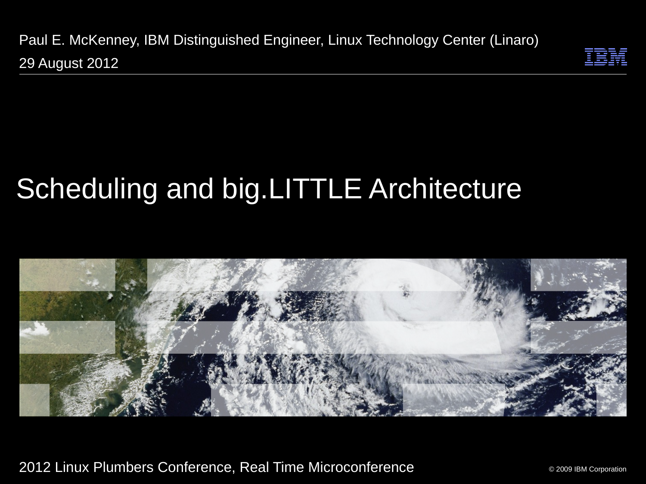Paul E. McKenney, IBM Distinguished Engineer, Linux Technology Center (Linaro) 29 August 2012



# Scheduling and big.LITTLE Architecture



2012 Linux Plumbers Conference, Real Time Microconference

© 2009 IBM Corporation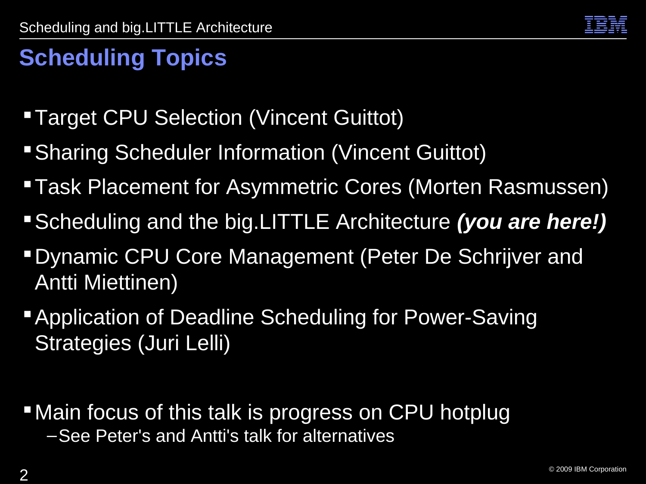

## **Scheduling Topics**

- **Target CPU Selection (Vincent Guittot)**
- **Sharing Scheduler Information (Vincent Guittot)**
- Task Placement for Asymmetric Cores (Morten Rasmussen)
- Scheduling and the big.LITTLE Architecture *(you are here!)*
- Dynamic CPU Core Management (Peter De Schrijver and Antti Miettinen)
- **Application of Deadline Scheduling for Power-Saving** Strategies (Juri Lelli)
- **-Main focus of this talk is progress on CPU hotplug** –See Peter's and Antti's talk for alternatives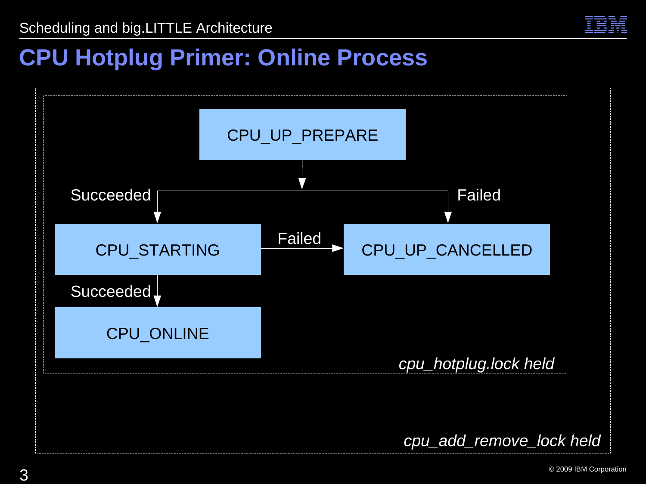

#### **CPU Hotplug Primer: Online Process**

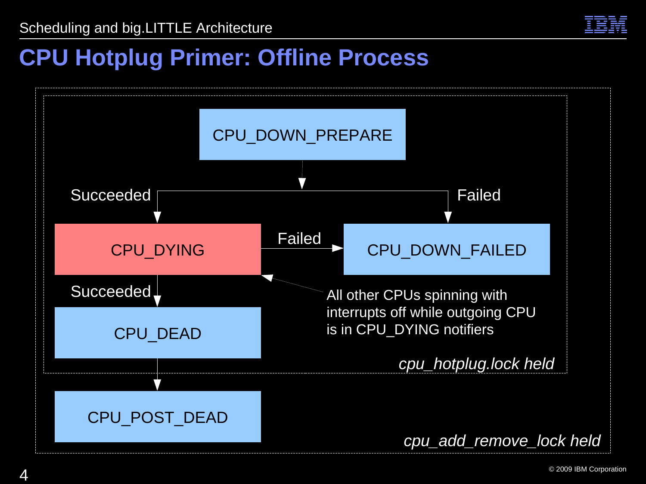

#### **CPU Hotplug Primer: Offline Process**

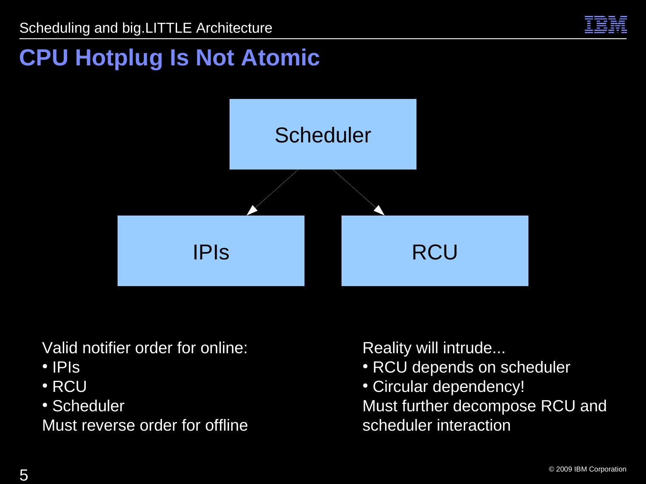

## **CPU Hotplug Is Not Atomic**



Valid notifier order for online:

- IPIs
- RCU
- Scheduler

Must reverse order for offline

- RCU depends on scheduler
- Circular dependency! Must further decompose RCU and scheduler interaction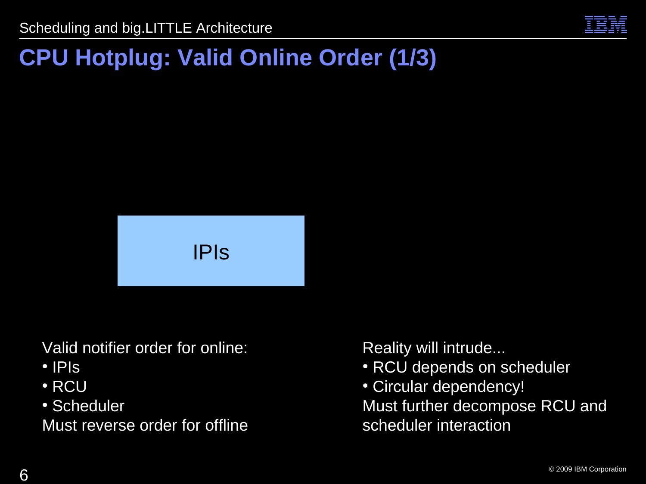

## **CPU Hotplug: Valid Online Order (1/3)**



Valid notifier order for online:

- $\cdot$  IPIS
- $\cdot$  RCU
- Scheduler

Must reverse order for offline

- RCU depends on scheduler
- Circular dependency! Must further decompose RCU and scheduler interaction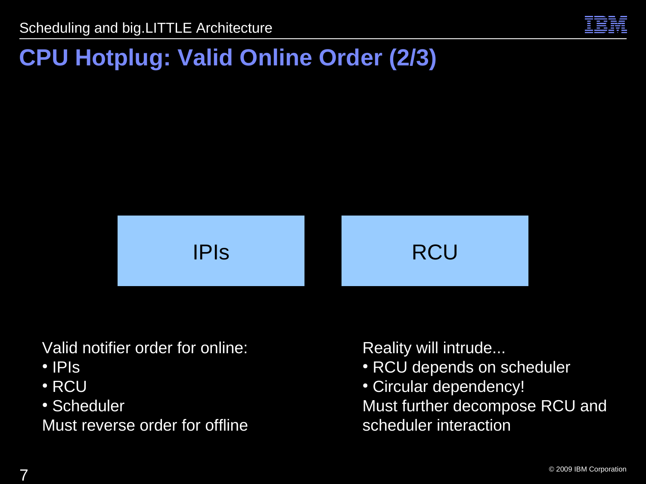

#### **CPU Hotplug: Valid Online Order (2/3)**



Valid notifier order for online:

- $\cdot$  IPIS
- $\cdot$  RCU
- Scheduler

Must reverse order for offline

- RCU depends on scheduler
- Circular dependency! Must further decompose RCU and scheduler interaction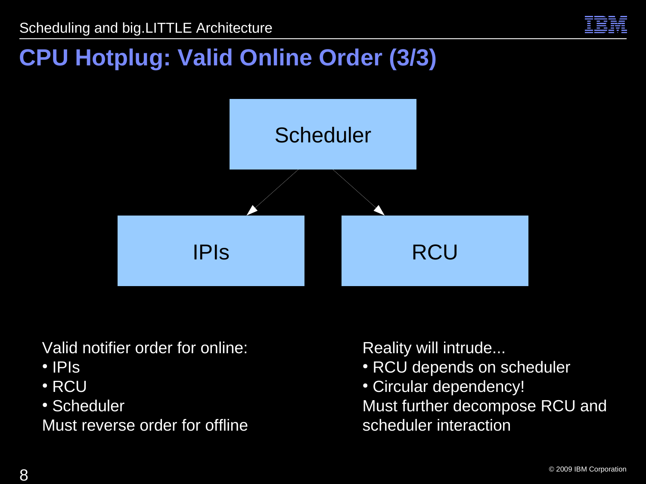

#### **CPU Hotplug: Valid Online Order (3/3)**



Valid notifier order for online:

- IPIs
- $\cdot$  RCU
- Scheduler

Must reverse order for offline

- RCU depends on scheduler
- Circular dependency! Must further decompose RCU and scheduler interaction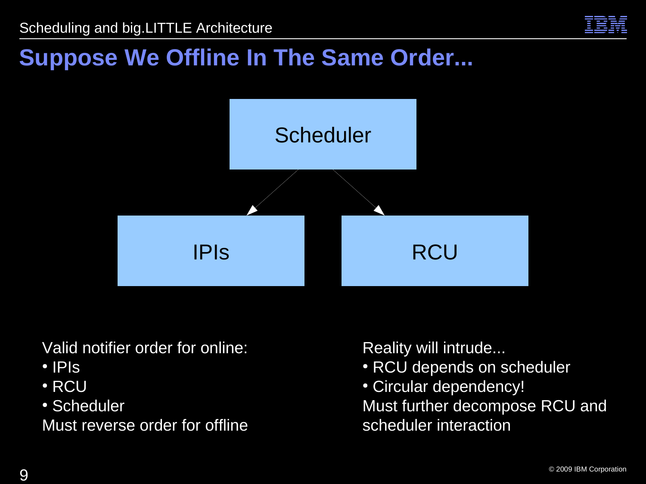

#### **Suppose We Offline In The Same Order...**



Valid notifier order for online:

- IPIs
- RCU
- Scheduler

Must reverse order for offline

- RCU depends on scheduler
- Circular dependency! Must further decompose RCU and scheduler interaction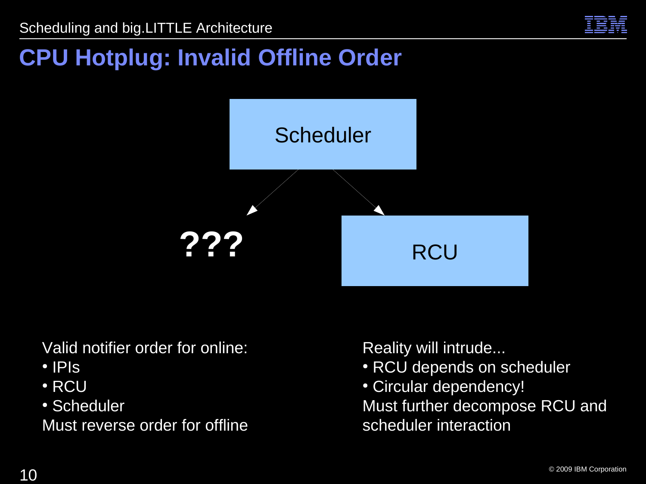

## **CPU Hotplug: Invalid Offline Order**



Valid notifier order for online:

- IPIs
- $\cdot$  RCU
- Scheduler

Must reverse order for offline

- RCU depends on scheduler
- Circular dependency! Must further decompose RCU and scheduler interaction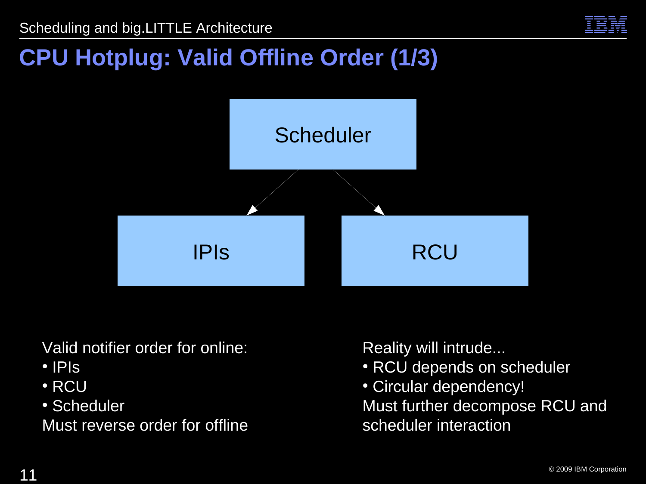

#### **CPU Hotplug: Valid Offline Order (1/3)**



Valid notifier order for online:

- IPIs
- $\cdot$  RCU
- Scheduler

Must reverse order for offline

- RCU depends on scheduler
- Circular dependency! Must further decompose RCU and scheduler interaction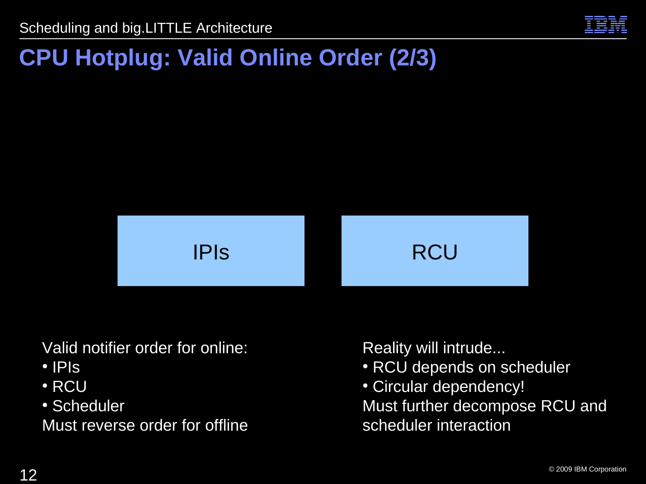

#### **CPU Hotplug: Valid Online Order (2/3)**



Valid notifier order for online:

- $\cdot$  IPIS
- $\cdot$  RCU
- Scheduler

Must reverse order for offline

- RCU depends on scheduler
- Circular dependency! Must further decompose RCU and scheduler interaction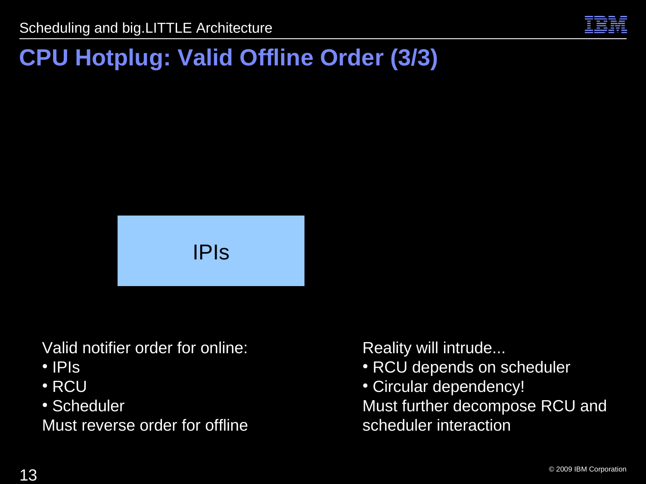

## **CPU Hotplug: Valid Offline Order (3/3)**



Valid notifier order for online:

- $\cdot$  IPIS
- $\cdot$  RCU
- Scheduler

Must reverse order for offline

- RCU depends on scheduler
- Circular dependency! Must further decompose RCU and scheduler interaction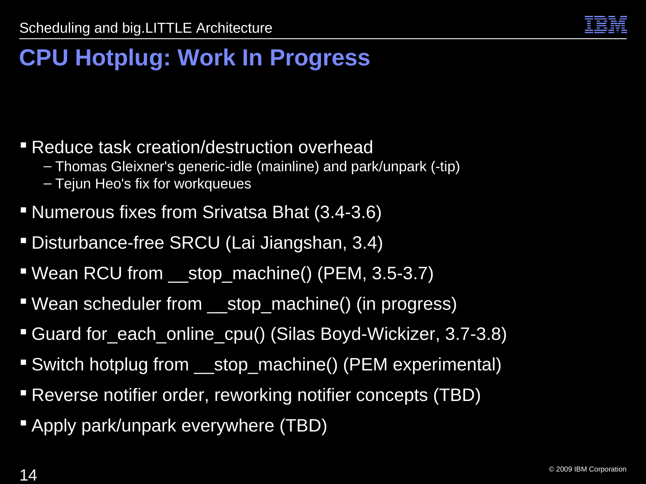

## **CPU Hotplug: Work In Progress**

- **Reduce task creation/destruction overhead** 
	- Thomas Gleixner's generic-idle (mainline) and park/unpark (-tip)
	- Tejun Heo's fix for workqueues
- Numerous fixes from Srivatsa Bhat (3.4-3.6)
- Disturbance-free SRCU (Lai Jiangshan, 3.4)
- **Wean RCU from** stop machine() (PEM, 3.5-3.7)
- Wean scheduler from \_\_stop\_machine() (in progress)
- Guard for\_each\_online\_cpu() (Silas Boyd-Wickizer, 3.7-3.8)
- Switch hotplug from stop machine() (PEM experimental)
- Reverse notifier order, reworking notifier concepts (TBD)
- **Apply park/unpark everywhere (TBD)**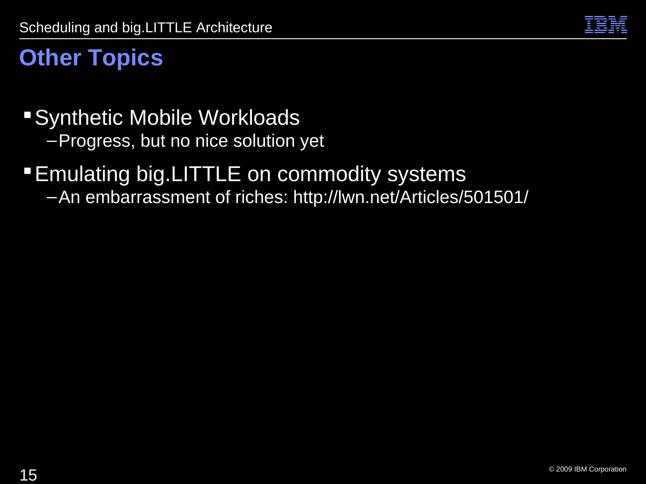

#### **Other Topics**

- Synthetic Mobile Workloads
	- –Progress, but no nice solution yet

#### **Emulating big.LITTLE on commodity systems**

–An embarrassment of riches: http://lwn.net/Articles/501501/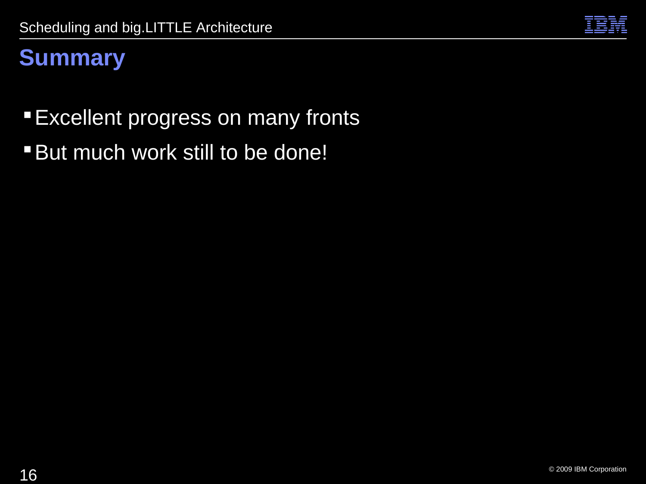

#### **Summary**

**Excellent progress on many fronts** 

**But much work still to be done!**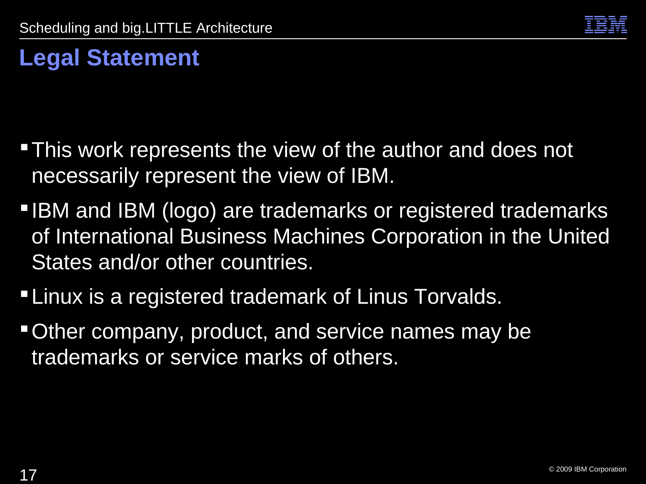

## **Legal Statement**

- **This work represents the view of the author and does not** necessarily represent the view of IBM.
- **IBM and IBM (logo) are trademarks or registered trademarks** of International Business Machines Corporation in the United States and/or other countries.
- **-Linux is a registered trademark of Linus Torvalds.**
- Other company, product, and service names may be trademarks or service marks of others.